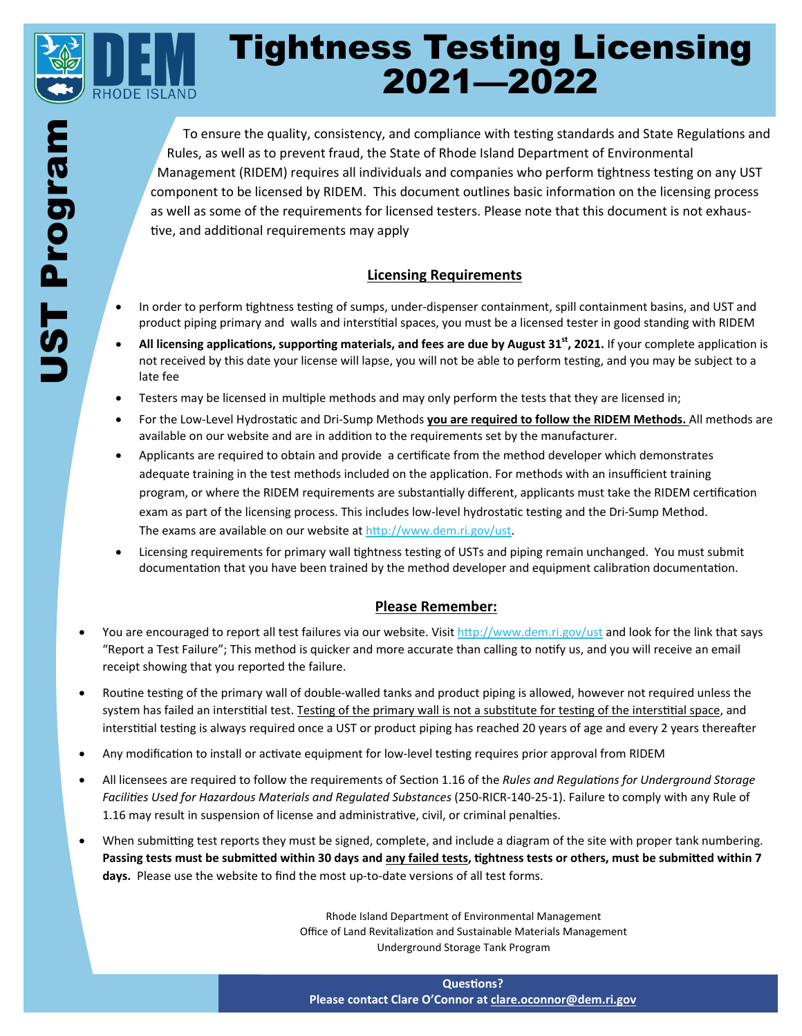

# Tightness Testing Licensing 2021—2022

To ensure the quality, consistency, and compliance with testing standards and State Regulations and Rules, as well as to prevent fraud, the State of Rhode Island Department of Environmental Management (RIDEM) requires all individuals and companies who perform tightness testing on any UST component to be licensed by RIDEM. This document outlines basic information on the licensing process as well as some of the requirements for licensed testers. Please note that this document is not exhaustive, and additional requirements may apply

### **Licensing Requirements**

- In order to perform tightness testing of sumps, under-dispenser containment, spill containment basins, and UST and product piping primary and walls and interstitial spaces, you must be a licensed tester in good standing with RIDEM
- All licensing applications, supporting materials, and fees are due by August 31<sup>st</sup>, 2021. If your complete application is not received by this date your license will lapse, you will not be able to perform testing, and you may be subject to a late fee
- Testers may be licensed in multiple methods and may only perform the tests that they are licensed in;
- For the Low-Level Hydrostatic and Dri-Sump Methods you are required to follow the RIDEM Methods. All methods are available on our website and are in addition to the requirements set by the manufacturer.
- Applicants are required to obtain and provide a certificate from the method developer which demonstrates adequate training in the test methods included on the application. For methods with an insufficient training program, or where the RIDEM requirements are substantially different, applicants must take the RIDEM certification exam as part of the licensing process. This includes low-level hydrostatic testing and the Dri-Sump Method. The exams are available on our website at http://www.dem.ri.gov/ust.
- Licensing requirements for primary wall tightness testing of USTs and piping remain unchanged. You must submit documentation that you have been trained by the method developer and equipment calibration documentation.

#### **Please Remember:**

- You are encouraged to report all test failures via our website. Visit http://www.dem.ri.gov/ust and look for the link that says "Report a Test Failure"; This method is quicker and more accurate than calling to notify us, and you will receive an email receipt showing that you reported the failure.
- Routine testing of the primary wall of double-walled tanks and product piping is allowed, however not required unless the system has failed an interstitial test. Testing of the primary wall is not a substitute for testing of the interstitial space, and interstitial testing is always required once a UST or product piping has reached 20 years of age and every 2 years thereafter
- Any modification to install or activate equipment for low-level testing requires prior approval from RIDEM
- All licensees are required to follow the requirements of Section 1.16 of the *Rules and Requlations for Underground Storage FaciliƟes Used for Hazardous Materials and Regulated Substances* (250-RICR-140-25-1). Failure to comply with any Rule of 1.16 may result in suspension of license and administrative, civil, or criminal penalties.
- When submitting test reports they must be signed, complete, and include a diagram of the site with proper tank numbering. Passing tests must be submitted within 30 days and any failed tests, tightness tests or others, must be submitted within 7 **days.** Please use the website to find the most up-to-date versions of all test forms.

Rhode Island Department of Environmental Management Office of Land Revitalization and Sustainable Materials Management Underground Storage Tank Program